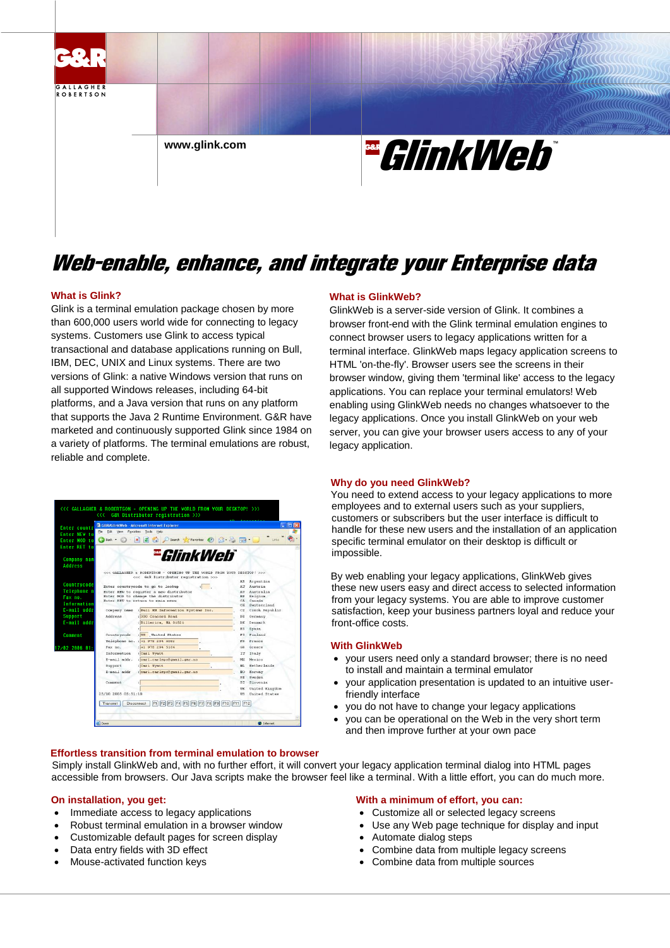

## Web-enable, enhance, and integrate your Enterprise data

#### **What is Glink?**

Glink is a terminal emulation package chosen by more than 600,000 users world wide for connecting to legacy systems. Customers use Glink to access typical transactional and database applications running on Bull, IBM, DEC, UNIX and Linux systems. There are two versions of Glink: a native Windows version that runs on all supported Windows releases, including 64-bit platforms, and a Java version that runs on any platform that supports the Java 2 Runtime Environment. G&R have marketed and continuously supported Glink since 1984 on a variety of platforms. The terminal emulations are robust, reliable and complete.

| <b>Enter countr</b> |                                                                         | GBR/GlinkWeb - Microsoft Internet Explorer                                                                       |                                                 |                   |  |
|---------------------|-------------------------------------------------------------------------|------------------------------------------------------------------------------------------------------------------|-------------------------------------------------|-------------------|--|
| <b>Enter NFW tn</b> | File Edit<br>View Favorites                                             | Tools<br>Help                                                                                                    |                                                 |                   |  |
| Enter HOD to        | $\bigodot$ Back $\cdot$                                                 | $\vert \times \vert$                                                                                             |                                                 | Links             |  |
| <b>Enter RET to</b> |                                                                         |                                                                                                                  |                                                 |                   |  |
|                     |                                                                         |                                                                                                                  |                                                 |                   |  |
| Company nam         |                                                                         | <del>"</del> GlinkWeb*                                                                                           |                                                 |                   |  |
| <b>Address</b>      |                                                                         |                                                                                                                  |                                                 |                   |  |
|                     |                                                                         |                                                                                                                  |                                                 |                   |  |
|                     |                                                                         | CCC GALLAGHER & ROBERTSON - OPENING UP THE WORLD FROM YOUR DESKTOP! 500-<br><<< GER Distributor registration >>> |                                                 |                   |  |
|                     |                                                                         |                                                                                                                  | AR.                                             | Argentina         |  |
| Countrycode         |                                                                         | Enter countrycode to go to lookup                                                                                | AT                                              | Austria           |  |
| Telephone n         | Enter NEW to register a new distributor                                 |                                                                                                                  |                                                 | Australia         |  |
| Fax no.             | Enter MOD to change the distributor<br>Enter RET to return to main menu |                                                                                                                  |                                                 | Belgium<br>Canada |  |
| Information         |                                                                         |                                                                                                                  |                                                 | Suitzerland       |  |
| E-mail addr         | Company name                                                            | : Bull HN Information Systems Inc.                                                                               | CZ                                              | Czech Republic    |  |
| <b>Support</b>      | Address                                                                 | : 300 Concord Road                                                                                               | DE                                              | Germany           |  |
| E-mail addr         |                                                                         | Billerica, MA 01821                                                                                              | DK.                                             | Denmark           |  |
|                     |                                                                         |                                                                                                                  | 官台                                              | Spain             |  |
| Connent             | Countrycode                                                             | : US United States                                                                                               |                                                 | FT. Finland       |  |
|                     |                                                                         | Telephone no. : +1 978 294 6082                                                                                  | $\mathbf{r}$ <sub><math>\mathbf{p}</math></sub> | France            |  |
| $17/82288681$ :     | Fax no.                                                                 | $: 41$ 978 294 5164                                                                                              | GD.                                             | Greece            |  |
|                     | Information                                                             | Carl Wyatt                                                                                                       | TT.                                             | Italy             |  |
|                     | E-mail addr.                                                            | : carl.carlspc@gmail.gar.no                                                                                      | MX                                              | Mexico            |  |
|                     | Support                                                                 | : Carl Wyatt                                                                                                     | NT.                                             | Netherlands       |  |
|                     | E-mail addr                                                             | : carl.carlspc@gmnil.gar.no                                                                                      | NO.                                             | Norway            |  |
|                     |                                                                         |                                                                                                                  | SR                                              | Sueden            |  |
|                     | Company                                                                 |                                                                                                                  |                                                 | SI Slovenia       |  |
|                     |                                                                         |                                                                                                                  |                                                 | UK United Kingdom |  |
|                     | 25/10 2005 05:51:10                                                     |                                                                                                                  | <b>US</b>                                       | United States     |  |
|                     | F2 F3 F4 F6 F6 F7 F8 F9 F10 F11 F12<br>Transmit<br>Disconnect<br>F1     |                                                                                                                  |                                                 |                   |  |
|                     |                                                                         |                                                                                                                  |                                                 |                   |  |

#### **Effortless transition from terminal emulation to browser**

#### **What is GlinkWeb?**

GlinkWeb is a server-side version of Glink. It combines a browser front-end with the Glink terminal emulation engines to connect browser users to legacy applications written for a terminal interface. GlinkWeb maps legacy application screens to HTML 'on-the-fly'. Browser users see the screens in their browser window, giving them 'terminal like' access to the legacy applications. You can replace your terminal emulators! Web enabling using GlinkWeb needs no changes whatsoever to the legacy applications. Once you install GlinkWeb on your web server, you can give your browser users access to any of your legacy application.

#### **Why do you need GlinkWeb?**

You need to extend access to your legacy applications to more employees and to external users such as your suppliers, customers or subscribers but the user interface is difficult to handle for these new users and the installation of an application specific terminal emulator on their desktop is difficult or impossible.

By web enabling your legacy applications, GlinkWeb gives these new users easy and direct access to selected information from your legacy systems. You are able to improve customer satisfaction, keep your business partners loyal and reduce your front-office costs.

#### **With GlinkWeb**

- your users need only a standard browser; there is no need to install and maintain a terminal emulator
- your application presentation is updated to an intuitive userfriendly interface
- you do not have to change your legacy applications
- you can be operational on the Web in the very short term and then improve further at your own pace

Simply install GlinkWeb and, with no further effort, it will convert your legacy application terminal dialog into HTML pages accessible from browsers. Our Java scripts make the browser feel like a terminal. With a little effort, you can do much more.

#### **On installation, you get:**

- Immediate access to legacy applications
- Robust terminal emulation in a browser window
- Customizable default pages for screen display
- Data entry fields with 3D effect
- Mouse-activated function keys

#### **With a minimum of effort, you can:**

- Customize all or selected legacy screens
- Use any Web page technique for display and input
- Automate dialog steps
- Combine data from multiple legacy screens
- Combine data from multiple sources